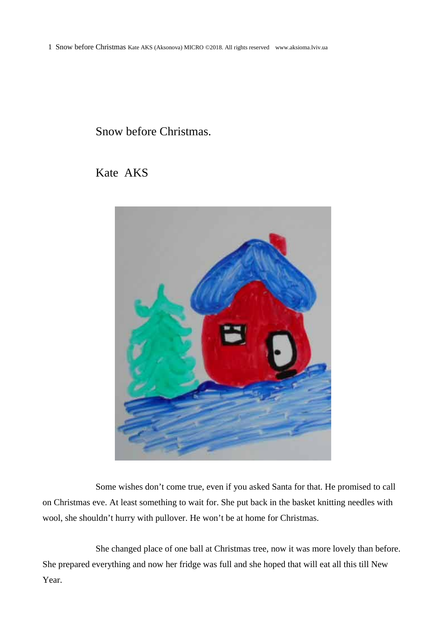1 Snow before Christmas Kate AKS (Aksonova) MICRO ©2018. All rights reserved www.aksioma.lviv.ua

## Snow before Christmas.

## Kate AKS



Some wishes don't come true, even if you asked Santa for that. He promised to call on Christmas eve. At least something to wait for. She put back in the basket knitting needles with wool, she shouldn't hurry with pullover. He won't be at home for Christmas.

She changed place of one ball at Christmas tree, now it was more lovely than before. She prepared everything and now her fridge was full and she hoped that will eat all this till New Year.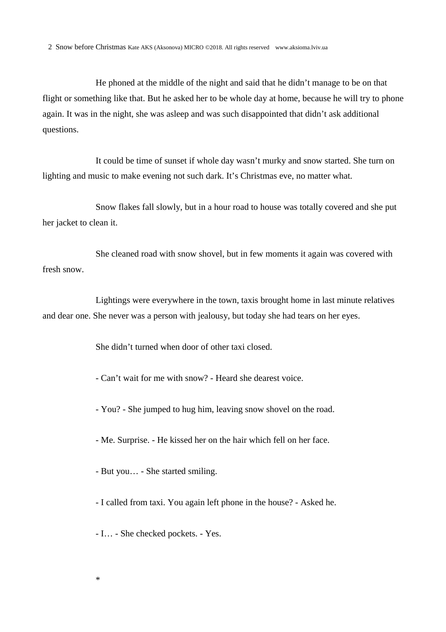He phoned at the middle of the night and said that he didn't manage to be on that flight or something like that. But he asked her to be whole day at home, because he will try to phone again. It was in the night, she was asleep and was such disappointed that didn't ask additional questions.

It could be time of sunset if whole day wasn't murky and snow started. She turn on lighting and music to make evening not such dark. It's Christmas eve, no matter what.

Snow flakes fall slowly, but in a hour road to house was totally covered and she put her jacket to clean it.

She cleaned road with snow shovel, but in few moments it again was covered with fresh snow.

Lightings were everywhere in the town, taxis brought home in last minute relatives and dear one. She never was a person with jealousy, but today she had tears on her eyes.

She didn't turned when door of other taxi closed.

- Can't wait for me with snow? - Heard she dearest voice.

- You? - She jumped to hug him, leaving snow shovel on the road.

- Me. Surprise. - He kissed her on the hair which fell on her face.

- But you… - She started smiling.

- I called from taxi. You again left phone in the house? - Asked he.

- I… - She checked pockets. - Yes.

\*